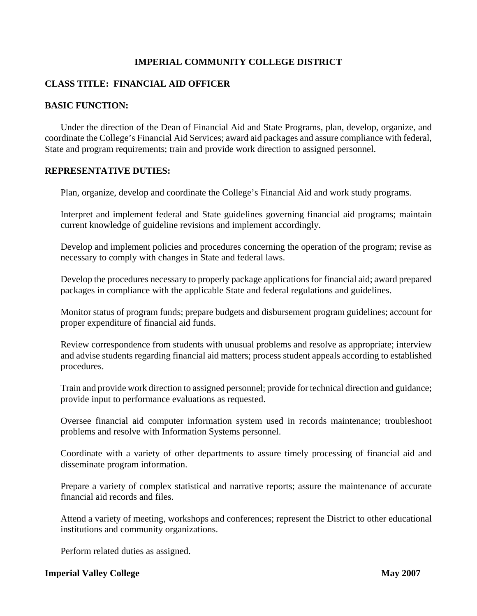## **IMPERIAL COMMUNITY COLLEGE DISTRICT**

## **CLASS TITLE: FINANCIAL AID OFFICER**

### **BASIC FUNCTION:**

Under the direction of the Dean of Financial Aid and State Programs, plan, develop, organize, and coordinate the College's Financial Aid Services; award aid packages and assure compliance with federal, State and program requirements; train and provide work direction to assigned personnel.

### **REPRESENTATIVE DUTIES:**

Plan, organize, develop and coordinate the College's Financial Aid and work study programs.

Interpret and implement federal and State guidelines governing financial aid programs; maintain current knowledge of guideline revisions and implement accordingly.

Develop and implement policies and procedures concerning the operation of the program; revise as necessary to comply with changes in State and federal laws.

Develop the procedures necessary to properly package applications for financial aid; award prepared packages in compliance with the applicable State and federal regulations and guidelines.

Monitor status of program funds; prepare budgets and disbursement program guidelines; account for proper expenditure of financial aid funds.

Review correspondence from students with unusual problems and resolve as appropriate; interview and advise students regarding financial aid matters; process student appeals according to established procedures.

Train and provide work direction to assigned personnel; provide for technical direction and guidance; provide input to performance evaluations as requested.

Oversee financial aid computer information system used in records maintenance; troubleshoot problems and resolve with Information Systems personnel.

Coordinate with a variety of other departments to assure timely processing of financial aid and disseminate program information.

Prepare a variety of complex statistical and narrative reports; assure the maintenance of accurate financial aid records and files.

Attend a variety of meeting, workshops and conferences; represent the District to other educational institutions and community organizations.

Perform related duties as assigned.

### **Imperial Valley College May 2007**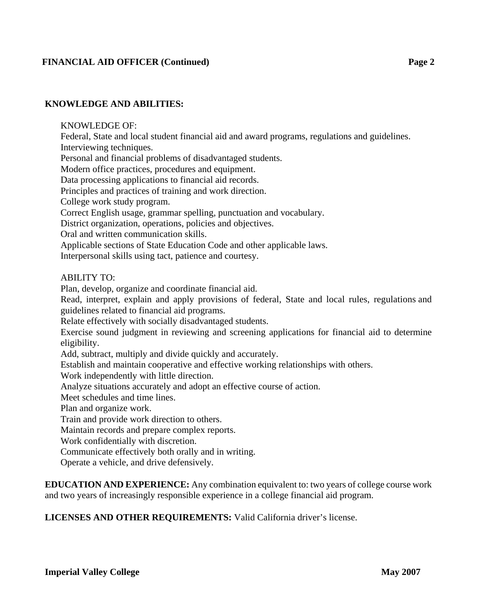## **FINANCIAL AID OFFICER (Continued) Page 2**

### **KNOWLEDGE AND ABILITIES:**

### KNOWLEDGE OF:

Federal, State and local student financial aid and award programs, regulations and guidelines. Interviewing techniques.

Personal and financial problems of disadvantaged students.

Modern office practices, procedures and equipment.

Data processing applications to financial aid records.

Principles and practices of training and work direction.

College work study program.

Correct English usage, grammar spelling, punctuation and vocabulary.

District organization, operations, policies and objectives.

Oral and written communication skills.

Applicable sections of State Education Code and other applicable laws.

Interpersonal skills using tact, patience and courtesy.

### ABILITY TO:

Plan, develop, organize and coordinate financial aid.

 Read, interpret, explain and apply provisions of federal, State and local rules, regulations and guidelines related to financial aid programs.

Relate effectively with socially disadvantaged students.

Exercise sound judgment in reviewing and screening applications for financial aid to determine eligibility.

Add, subtract, multiply and divide quickly and accurately.

Establish and maintain cooperative and effective working relationships with others.

Work independently with little direction.

Analyze situations accurately and adopt an effective course of action.

Meet schedules and time lines.

Plan and organize work.

Train and provide work direction to others.

Maintain records and prepare complex reports.

Work confidentially with discretion.

Communicate effectively both orally and in writing.

Operate a vehicle, and drive defensively.

**EDUCATION AND EXPERIENCE:** Any combination equivalent to: two years of college course work and two years of increasingly responsible experience in a college financial aid program.

**LICENSES AND OTHER REQUIREMENTS:** Valid California driver's license.